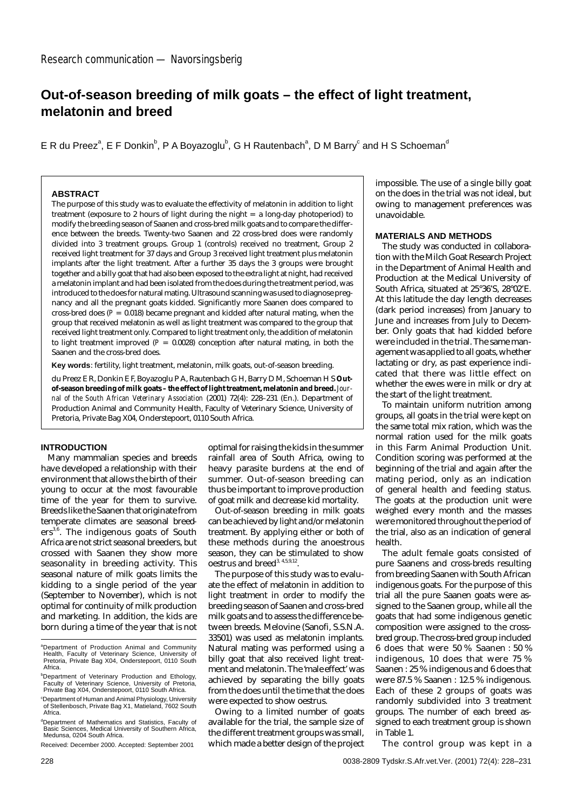# **Out-of-season breeding of milk goats – the effect of light treatment, melatonin and breed**

E R du Preez $\textsuperscript{a}$ , E F Donkin $\textsuperscript{b}$ , P A Boyazoglu $\textsuperscript{b}$ , G H Rautenbach $\textsuperscript{a}$ , D M Barry $\textsuperscript{c}$  and H S Schoeman $\textsuperscript{d}$ 

#### **ABSTRACT**

The purpose of this study was to evaluate the effectivity of melatonin in addition to light treatment (exposure to 2 hours of light during the night  $=$  a long-day photoperiod) to modify the breeding season of Saanen and cross-bred milk goats and to compare the difference between the breeds. Twenty-two Saanen and 22 cross-bred does were randomly divided into 3 treatment groups. Group 1 (controls) received no treatment, Group 2 received light treatment for 37 days and Group 3 received light treatment plus melatonin implants after the light treatment. After a further 35 days the 3 groups were brought together and a billy goat that had also been exposed to the extra light at night, had received a melatonin implant and had been isolated from the does during the treatment period, was introduced to the does for natural mating. Ultrasound scanning was used to diagnose pregnancy and all the pregnant goats kidded. Significantly more Saanen does compared to cross-bred does ( $P = 0.018$ ) became pregnant and kidded after natural mating, when the group that received melatonin as well as light treatment was compared to the group that received light treatment only. Compared to light treatment only, the addition of melatonin to light treatment improved ( $P = 0.0028$ ) conception after natural mating, in both the Saanen and the cross-bred does.

**Key words**: fertility, light treatment, melatonin, milk goats, out-of-season breeding.

du Preez E R, Donkin E F, Boyazoglu P A, Rautenbach G H, Barry D M, Schoeman H S **Outof-season breeding of milk goats – the effect of light treatment, melatonin and breed.***Journal of the South African Veterinary Association* (2001) 72(4): 228–231 (En.). Department of Production Animal and Community Health, Faculty of Veterinary Science, University of Pretoria, Private Bag X04, Onderstepoort, 0110 South Africa.

## **INTRODUCTION**

Many mammalian species and breeds have developed a relationship with their environment that allows the birth of their young to occur at the most favourable time of the year for them to survive. Breeds like the Saanen that originate from temperate climates are seasonal breeders<sup>3,6</sup>. The indigenous goats of South Africa are not strict seasonal breeders, but crossed with Saanen they show more seasonality in breeding activity. This seasonal nature of milk goats limits the kidding to a single period of the year (September to November), which is not optimal for continuity of milk production and marketing. In addition, the kids are born during a time of the year that is not optimal for raising the kids in the summer rainfall area of South Africa, owing to heavy parasite burdens at the end of summer. Out-of-season breeding can thus be important to improve production of goat milk and decrease kid mortality.

Out-of-season breeding in milk goats can be achieved by light and/or melatonin treatment. By applying either or both of these methods during the anoestrous season, they can be stimulated to show oestrus and breed<sup>3, 4,5,9,12</sup>.

The purpose of this study was to evaluate the effect of melatonin in addition to light treatment in order to modify the breeding season of Saanen and cross-bred milk goats and to assess the difference between breeds. Melovine (Sanofi, S.S.N.A. 33501) was used as melatonin implants. Natural mating was performed using a billy goat that also received light treatment and melatonin. The 'male effect' was achieved by separating the billy goats from the does until the time that the does were expected to show oestrus.

Owing to a limited number of goats available for the trial, the sample size of the different treatment groups was small, which made a better design of the project impossible. The use of a single billy goat on the does in the trial was not ideal, but owing to management preferences was unavoidable.

#### **MATERIALS AND METHODS**

The study was conducted in collaboration with the Milch Goat Research Project in the Department of Animal Health and Production at the Medical University of South Africa, situated at 25°36'S, 28°02'E. At this latitude the day length decreases (dark period increases) from January to June and increases from July to December. Only goats that had kidded before were included in the trial. The same management was applied to all goats, whether lactating or dry, as past experience indicated that there was little effect on whether the ewes were in milk or dry at the start of the light treatment.

To maintain uniform nutrition among groups, all goats in the trial were kept on the same total mix ration, which was the normal ration used for the milk goats in this Farm Animal Production Unit. Condition scoring was performed at the beginning of the trial and again after the mating period, only as an indication of general health and feeding status. The goats at the production unit were weighed every month and the masses were monitored throughout the period of the trial, also as an indication of general health.

The adult female goats consisted of pure Saanens and cross-breds resulting from breeding Saanen with South African indigenous goats. For the purpose of this trial all the pure Saanen goats were assigned to the Saanen group, while all the goats that had some indigenous genetic composition were assigned to the crossbred group. The cross-bred group included 6 does that were 50 % Saanen : 50 % indigenous, 10 does that were 75 % Saanen : 25 % indigenous and 6 does that were 87.5 % Saanen : 12.5 % indigenous. Each of these 2 groups of goats was randomly subdivided into 3 treatment groups. The number of each breed assigned to each treatment group is shown in Table 1.

The control group was kept in a

<sup>&</sup>lt;sup>a</sup>Department of Production Animal and Community Health, Faculty of Veterinary Science, University of Pretoria, Private Bag X04, Onderstepoort, 0110 South Africa.

**Department of Veterinary Production and Ethology,** Faculty of Veterinary Science, University of Pretoria, Private Bag X04, Onderstepoort, 0110 South Africa.

c Department of Human and Animal Physiology, University of Stellenbosch, Private Bag X1, Matieland, 7602 South Africa.

<sup>&</sup>lt;sup>d</sup>Department of Mathematics and Statistics, Faculty of **Basic Sciences, Medical University of Southern Africa,** Medunsa, 0204 South Africa.

Received: December 2000. Accepted: September 2001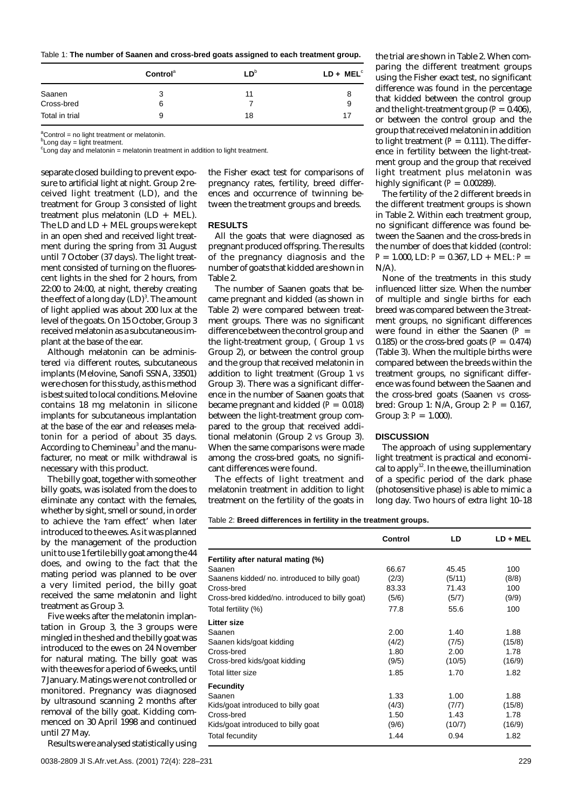|                | Control <sup>a</sup> | LD <sup>b</sup> | $LD + MELc$ |  |  |
|----------------|----------------------|-----------------|-------------|--|--|
| Saanen         | 3                    | 11              | 8           |  |  |
| Cross-bred     | 6                    |                 | 9           |  |  |
| Total in trial | 9                    | 18              | 17          |  |  |

<sup>a</sup>Control = no light treatment or melatonin.

<sup>b</sup>Long day = light treatment.

 $c$ Long day and melatonin = melatonin treatment in addition to light treatment.

separate closed building to prevent exposure to artificial light at night. Group 2 received light treatment (LD), and the treatment for Group 3 consisted of light treatment plus melatonin (LD + MEL). The LD and LD + MEL groups were kept in an open shed and received light treatment during the spring from 31 August until 7 October (37 days). The light treatment consisted of turning on the fluorescent lights in the shed for 2 hours, from 22:00 to 24:00, at night, thereby creating the effect of a long day (LD) $^3$ . The amount of light applied was about 200 lux at the level of the goats. On 15 October, Group 3 received melatonin as a subcutaneous implant at the base of the ear.

Although melatonin can be administered *via* different routes, subcutaneous implants (Melovine, Sanofi SSNA, 33501) were chosen for this study, as this method is best suited to local conditions. Melovine contains 18 mg melatonin in silicone implants for subcutaneous implantation at the base of the ear and releases melatonin for a period of about 35 days. According to Chemineau<sup>3</sup> and the manufacturer, no meat or milk withdrawal is necessary with this product.

The billy goat, together with some other billy goats, was isolated from the does to eliminate any contact with the females, whether by sight, smell or sound, in order to achieve the ram effect' when later introduced to the ewes. As it was planned by the management of the production unit to use 1 fertile billy goat among the 44 does, and owing to the fact that the mating period was planned to be over a very limited period, the billy goat received the same melatonin and light treatment as Group 3.

Five weeks after the melatonin implantation in Group 3, the 3 groups were mingled in the shed and the billy goat was introduced to the ewes on 24 November for natural mating. The billy goat was with the ewes for a period of 6 weeks, until 7 January. Matings were not controlled or monitored. Pregnancy was diagnosed by ultrasound scanning 2 months after removal of the billy goat. Kidding commenced on 30 April 1998 and continued until 27 May.

Results were analysed statistically using

the Fisher exact test for comparisons of pregnancy rates, fertility, breed differences and occurrence of twinning between the treatment groups and breeds.

## **RESULTS**

All the goats that were diagnosed as pregnant produced offspring. The results of the pregnancy diagnosis and the number of goats that kidded are shown in Table 2.

The number of Saanen goats that became pregnant and kidded (as shown in Table 2) were compared between treatment groups. There was no significant difference between the control group and the light-treatment group, ( Group 1 *vs* Group 2), or between the control group and the group that received melatonin in addition to light treatment (Group 1 *vs* Group 3). There was a significant difference in the number of Saanen goats that became pregnant and kidded (*P* = 0.018) between the light-treatment group compared to the group that received additional melatonin (Group 2 *vs* Group 3). When the same comparisons were made among the cross-bred goats, no significant differences were found.

The effects of light treatment and melatonin treatment in addition to light treatment on the fertility of the goats in the trial are shown in Table 2. When comparing the different treatment groups using the Fisher exact test, no significant difference was found in the percentage that kidded between the control group and the light-treatment group  $(P = 0.406)$ , or between the control group and the group that received melatonin in addition to light treatment  $(P = 0.111)$ . The difference in fertility between the light-treatment group and the group that received light treatment plus melatonin was highly significant  $(P = 0.00289)$ .

The fertility of the 2 different breeds in the different treatment groups is shown in Table 2. Within each treatment group, no significant difference was found between the Saanen and the cross-breds in the number of does that kidded (control: *P* = 1.000, LD: *P* = 0.367, LD + MEL: *P* =  $N/A$ ).

None of the treatments in this study influenced litter size. When the number of multiple and single births for each breed was compared between the 3 treatment groups, no significant differences were found in either the Saanen (*P* = 0.185) or the cross-bred goats  $(P = 0.474)$ (Table 3). When the multiple births were compared between the breeds within the treatment groups, no significant difference was found between the Saanen and the cross-bred goats (Saanen *vs* crossbred: Group 1: N/A, Group 2: *P* = 0.167, Group 3: *P* = 1.000).

#### **DISCUSSION**

The approach of using supplementary light treatment is practical and economical to apply<sup>12</sup>. In the ewe, the illumination of a specific period of the dark phase (photosensitive phase) is able to mimic a long day. Two hours of extra light 10–18

Table 2: **Breed differences in fertility in the treatment groups.**

|                                                 | Control | LD     | LD + MEL |
|-------------------------------------------------|---------|--------|----------|
| Fertility after natural mating (%)              |         |        |          |
| Saanen                                          | 66.67   | 45.45  | 100      |
| Saanens kidded/no. introduced to billy goat)    | (2/3)   | (5/11) | (8/8)    |
| Cross-bred                                      | 83.33   | 71.43  | 100      |
| Cross-bred kidded/no. introduced to billy goat) | (5/6)   | (5/7)  | (9/9)    |
| Total fertility (%)                             | 77.8    | 55.6   | 100      |
| <b>Litter size</b>                              |         |        |          |
| Saanen                                          | 2.00    | 1.40   | 1.88     |
| Saanen kids/goat kidding                        | (4/2)   | (7/5)  | (15/8)   |
| Cross-bred                                      | 1.80    | 2.00   | 1.78     |
| Cross-bred kids/goat kidding                    | (9/5)   | (10/5) | (16/9)   |
| Total litter size                               | 1.85    | 1.70   | 1.82     |
| <b>Fecundity</b>                                |         |        |          |
| Saanen                                          | 1.33    | 1.00   | 1.88     |
| Kids/goat introduced to billy goat              | (4/3)   | (7/7)  | (15/8)   |
| Cross-bred                                      | 1.50    | 1.43   | 1.78     |
| Kids/goat introduced to billy goat              | (9/6)   | (10/7) | (16/9)   |
| Total fecundity                                 | 1.44    | 0.94   | 1.82     |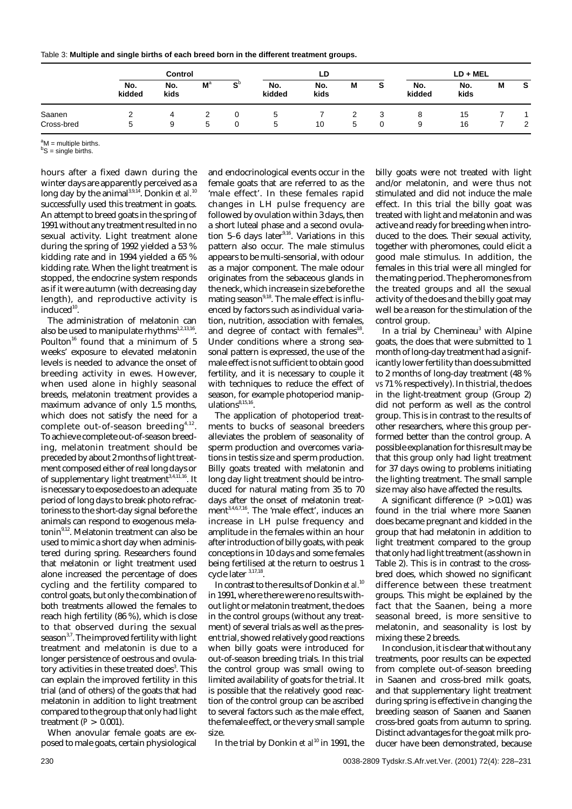Table 3: **Multiple and single births of each breed born in the different treatment groups.**

|            | Control       |             |       |                | LD            |             |   | $LD + MEL$ |               |             |   |          |
|------------|---------------|-------------|-------|----------------|---------------|-------------|---|------------|---------------|-------------|---|----------|
|            | No.<br>kidded | No.<br>kids | $M^a$ | $S^{\text{b}}$ | No.<br>kidded | No.<br>kids | Μ | S          | No.<br>kidded | No.<br>kids | M | <b>S</b> |
| Saanen     |               | 4           |       |                | $\mathbf{p}$  |             |   |            |               | 15          |   |          |
| Cross-bred | 5             | 9           | G     |                | $5^{\circ}$   | 10          | 5 | 0          | 9             | 16          |   | 2        |

<sup>a</sup>M = multiple births.

 ${}^{b}S$  = single births.

hours after a fixed dawn during the winter days are apparently perceived as a long day by the animal<sup>3,9,14</sup>. Donkin *et al.*<sup>10</sup> successfully used this treatment in goats. An attempt to breed goats in the spring of 1991 without any treatment resulted in no sexual activity. Light treatment alone during the spring of 1992 yielded a 53 % kidding rate and in 1994 yielded a 65 % kidding rate. When the light treatment is stopped, the endocrine system responds as if it were autumn (with decreasing day length), and reproductive activity is induced<sup>10</sup>

The administration of melatonin can also be used to manipulate rhythms<sup>1,2,13,16</sup> Poulton<sup>16</sup> found that a minimum of 5 weeks' exposure to elevated melatonin levels is needed to advance the onset of breeding activity in ewes. However, when used alone in highly seasonal breeds, melatonin treatment provides a maximum advance of only 1.5 months, which does not satisfy the need for a complete out-of-season breeding<sup>4,12</sup>. To achieve complete out-of-season breeding, melatonin treatment should be preceded by about 2 months of light treatment composed either of real long days or of supplementary light treatment<sup>3,4,11,16</sup>. It is necessary to expose does to an adequate period of long days to break photo refractoriness to the short-day signal before the animals can respond to exogenous melatonin<sup>9,12</sup>. Melatonin treatment can also be used to mimic a short day when administered during spring. Researchers found that melatonin or light treatment used alone increased the percentage of does cycling and the fertility compared to control goats, but only the combination of both treatments allowed the females to reach high fertility (86 %), which is close to that observed during the sexual season $^{3,7}$ . The improved fertility with light treatment and melatonin is due to a longer persistence of oestrous and ovulatory activities in these treated does<sup>3</sup>. This can explain the improved fertility in this trial (and of others) of the goats that had melatonin in addition to light treatment compared to the group that only had light treatment  $(P > 0.001)$ .

When anovular female goats are exposed to male goats, certain physiological and endocrinological events occur in the female goats that are referred to as the 'male effect'. In these females rapid changes in LH pulse frequency are followed by ovulation within 3 days, then a short luteal phase and a second ovulation 5-6 days later<sup>9,16</sup>. Variations in this pattern also occur. The male stimulus appears to be multi-sensorial, with odour as a major component. The male odour originates from the sebaceous glands in the neck, which increase in size before the mating season $9,18$ . The male effect is influenced by factors such as individual variation, nutrition, association with females, and degree of contact with females<sup>18</sup>. Under conditions where a strong seasonal pattern is expressed, the use of the male effect is not sufficient to obtain good fertility, and it is necessary to couple it with techniques to reduce the effect of season, for example photoperiod manipulations<sup>8,15,16</sup>

The application of photoperiod treatments to bucks of seasonal breeders alleviates the problem of seasonality of sperm production and overcomes variations in testis size and sperm production. Billy goats treated with melatonin and long day light treatment should be introduced for natural mating from 35 to 70 days after the onset of melatonin treatment<sup>3,4,6,7,16</sup>. The 'male effect', induces an increase in LH pulse frequency and amplitude in the females within an hour after introduction of billy goats, with peak conceptions in 10 days and some females being fertilised at the return to oestrus 1 cycle later 3,17,18.

In contrast to the results of Donkin *et al.*<sup>10</sup> in 1991, where there were no results without light or melatonin treatment, the does in the control groups (without any treatment) of several trials as well as the present trial, showed relatively good reactions when billy goats were introduced for out-of-season breeding trials. In this trial the control group was small owing to limited availability of goats for the trial. It is possible that the relatively good reaction of the control group can be ascribed to several factors such as the male effect, the female effect, or the very small sample size.

billy goats were not treated with light and/or melatonin, and were thus not stimulated and did not induce the male effect. In this trial the billy goat was treated with light and melatonin and was active and ready for breeding when introduced to the does. Their sexual activity, together with pheromones, could elicit a good male stimulus. In addition, the females in this trial were all mingled for the mating period. The pheromones from the treated groups and all the sexual activity of the does and the billy goat may well be a reason for the stimulation of the control group.

In a trial by Chemineau $3$  with Alpine goats, the does that were submitted to 1 month of long-day treatment had a significantly lower fertility than does submitted to 2 months of long-day treatment (48 % *vs* 71 % respectively). In this trial, the does in the light-treatment group (Group 2) did not perform as well as the control group. This is in contrast to the results of other researchers, where this group performed better than the control group. A possible explanation for this result may be that this group only had light treatment for 37 days owing to problems initiating the lighting treatment. The small sample size may also have affected the results.

A significant difference (*P* >0.01) was found in the trial where more Saanen does became pregnant and kidded in the group that had melatonin in addition to light treatment compared to the group that only had light treatment (as shown in Table 2). This is in contrast to the crossbred does, which showed no significant difference between these treatment groups. This might be explained by the fact that the Saanen, being a more seasonal breed, is more sensitive to melatonin, and seasonality is lost by mixing these 2 breeds.

In conclusion, it is clear that without any treatments, poor results can be expected from complete out-of-season breeding in Saanen and cross-bred milk goats, and that supplementary light treatment during spring is effective in changing the breeding season of Saanen and Saanen cross-bred goats from autumn to spring. Distinct advantages for the goat milk producer have been demonstrated, because

In the trial by Donkin *et al*<sup>10</sup> in 1991, the